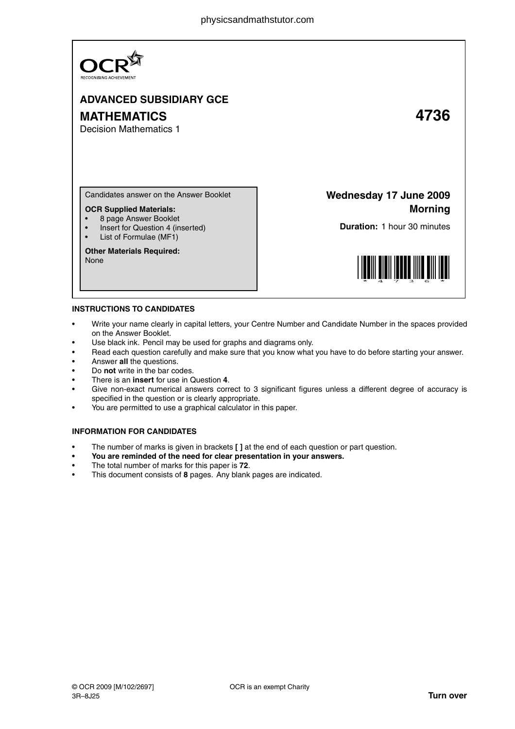

# **ADVANCED SUBSIDIARY GCE MATHEMATICS 4736**

Decision Mathematics 1

Candidates answer on the Answer Booklet

## **OCR Supplied Materials:**

- 8 page Answer Booklet
- Insert for Question 4 (inserted)
- List of Formulae (MF1)

## **Other Materials Required:**

None

**Wednesday 17 June 2009 Morning**

**Duration:** 1 hour 30 minutes



#### **INSTRUCTIONS TO CANDIDATES**

- Write your name clearly in capital letters, your Centre Number and Candidate Number in the spaces provided on the Answer Booklet.
- Use black ink. Pencil may be used for graphs and diagrams only.
- Read each question carefully and make sure that you know what you have to do before starting your answer.
- Answer **all** the questions.
- Do **not** write in the bar codes.
- There is an **insert** for use in Question **4**.
- Give non-exact numerical answers correct to 3 significant figures unless a different degree of accuracy is specified in the question or is clearly appropriate.
- You are permitted to use a graphical calculator in this paper.

### **INFORMATION FOR CANDIDATES**

- The number of marks is given in brackets **[ ]** at the end of each question or part question.
- **You are reminded of the need for clear presentation in your answers.**
- The total number of marks for this paper is **72**.
- This document consists of **8** pages. Any blank pages are indicated.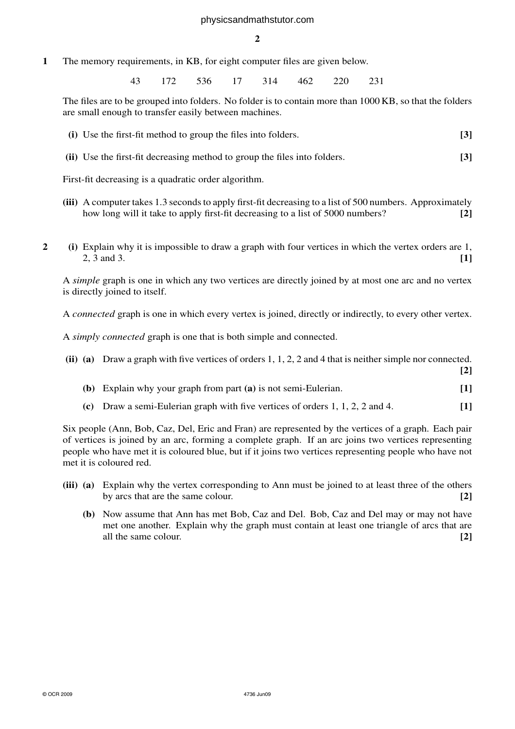**2**

**1** The memory requirements, in KB, for eight computer files are given below.

43 172 536 17 314 462 220 231

The files are to be grouped into folders. No folder is to contain more than 1000 KB, so that the folders are small enough to transfer easily between machines.

- **(i)** Use the first-fit method to group the files into folders. **[3]**
- **(ii)** Use the first-fit decreasing method to group the files into folders. **[3]**

First-fit decreasing is a quadratic order algorithm.

- **(iii)** A computer takes 1.3 seconds to apply first-fit decreasing to a list of 500 numbers. Approximately how long will it take to apply first-fit decreasing to a list of 5000 numbers? **[2]**
- **2 (i)** Explain why it is impossible to draw a graph with four vertices in which the vertex orders are 1, 2, 3 and 3. **[1]**

A *simple* graph is one in which any two vertices are directly joined by at most one arc and no vertex is directly joined to itself.

A *connected* graph is one in which every vertex is joined, directly or indirectly, to every other vertex.

A *simply connected* graph is one that is both simple and connected.

**(ii) (a)** Draw a graph with five vertices of orders 1, 1, 2, 2 and 4 that is neither simple nor connected.

**[2]**

- **(b)** Explain why your graph from part **(a)** is not semi-Eulerian. **[1]**
- **(c)** Draw a semi-Eulerian graph with five vertices of orders 1, 1, 2, 2 and 4. **[1]**

Six people (Ann, Bob, Caz, Del, Eric and Fran) are represented by the vertices of a graph. Each pair of vertices is joined by an arc, forming a complete graph. If an arc joins two vertices representing people who have met it is coloured blue, but if it joins two vertices representing people who have not met it is coloured red.

- **(iii) (a)** Explain why the vertex corresponding to Ann must be joined to at least three of the others by arcs that are the same colour. **[2]**
	- **(b)** Now assume that Ann has met Bob, Caz and Del. Bob, Caz and Del may or may not have met one another. Explain why the graph must contain at least one triangle of arcs that are all the same colour. **[2]**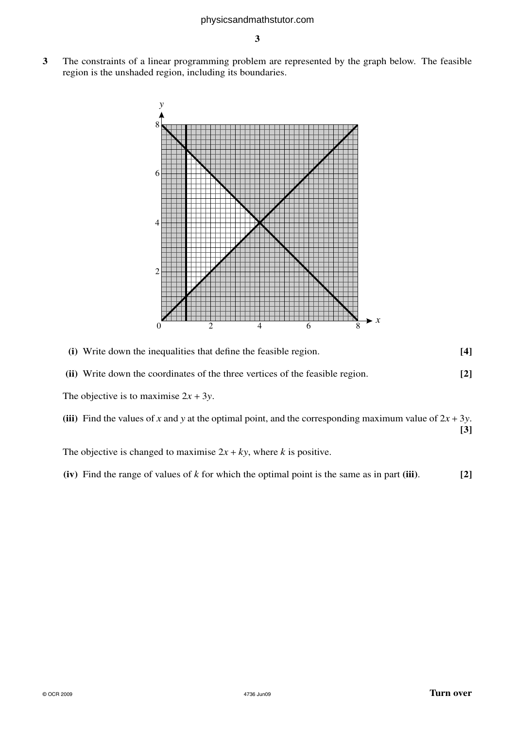**3** The constraints of a linear programming problem are represented by the graph below. The feasible region is the unshaded region, including its boundaries.



- **(i)** Write down the inequalities that define the feasible region. **[4]**
- **(ii)** Write down the coordinates of the three vertices of the feasible region. **[2]**

The objective is to maximise  $2x + 3y$ .

|  | (iii) Find the values of x and y at the optimal point, and the corresponding maximum value of $2x + 3y$ . |
|--|-----------------------------------------------------------------------------------------------------------|
|  |                                                                                                           |

The objective is changed to maximise  $2x + ky$ , where *k* is positive.

**(iv)** Find the range of values of *k* for which the optimal point is the same as in part **(iii)**. **[2]**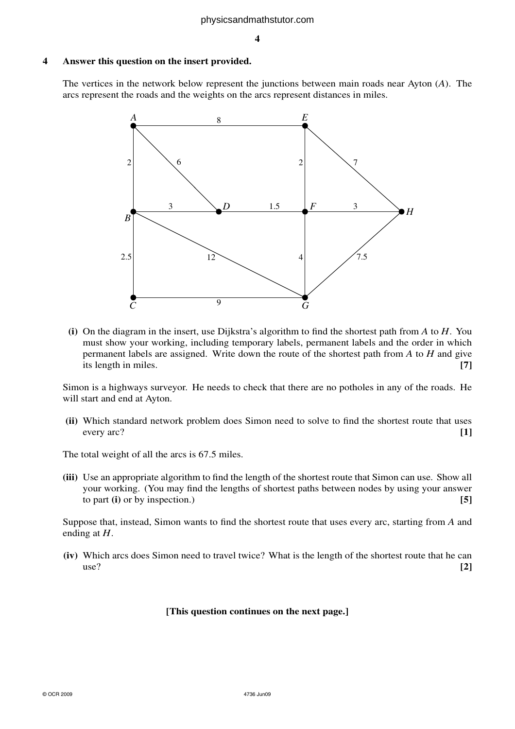### **4 Answer this question on the insert provided.**

The vertices in the network below represent the junctions between main roads near Ayton (*A*). The arcs represent the roads and the weights on the arcs represent distances in miles.



**(i)** On the diagram in the insert, use Dijkstra's algorithm to find the shortest path from *A* to *H*. You must show your working, including temporary labels, permanent labels and the order in which permanent labels are assigned. Write down the route of the shortest path from *A* to *H* and give its length in miles. **[7]**

Simon is a highways surveyor. He needs to check that there are no potholes in any of the roads. He will start and end at Ayton.

**(ii)** Which standard network problem does Simon need to solve to find the shortest route that uses every arc? **[1]**

The total weight of all the arcs is 67.5 miles.

**(iii)** Use an appropriate algorithm to find the length of the shortest route that Simon can use. Show all your working. (You may find the lengths of shortest paths between nodes by using your answer to part **(i)** or by inspection.) **[5]**

Suppose that, instead, Simon wants to find the shortest route that uses every arc, starting from *A* and ending at *H*.

**(iv)** Which arcs does Simon need to travel twice? What is the length of the shortest route that he can use? **[2]**

#### **[This question continues on the next page.]**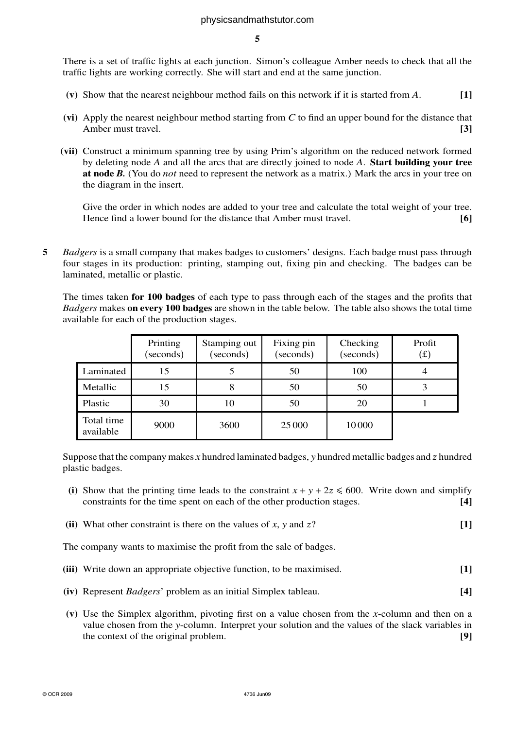**5**

There is a set of traffic lights at each junction. Simon's colleague Amber needs to check that all the traffic lights are working correctly. She will start and end at the same junction.

- **(v)** Show that the nearest neighbour method fails on this network if it is started from *A*. **[1]**
- **(vi)** Apply the nearest neighbour method starting from *C* to find an upper bound for the distance that Amber must travel. **[3] [3]**
- **(vii)** Construct a minimum spanning tree by using Prim's algorithm on the reduced network formed by deleting node *A* and all the arcs that are directly joined to node *A*. **Start building your tree at node** *B.* (You do *not* need to represent the network as a matrix.) Mark the arcs in your tree on the diagram in the insert.

Give the order in which nodes are added to your tree and calculate the total weight of your tree. Hence find a lower bound for the distance that Amber must travel. **[6]**

**5** *Badgers* is a small company that makes badges to customers' designs. Each badge must pass through four stages in its production: printing, stamping out, fixing pin and checking. The badges can be laminated, metallic or plastic.

The times taken **for 100 badges** of each type to pass through each of the stages and the profits that *Badgers* makes **on every 100 badges** are shown in the table below. The table also shows the total time available for each of the production stages.

|                         | Printing<br>(seconds) | Stamping out<br>(seconds) | Fixing pin<br>(seconds) | Checking<br>(seconds) | Profit<br>$(\text{\pounds})$ |
|-------------------------|-----------------------|---------------------------|-------------------------|-----------------------|------------------------------|
| Laminated               | 15                    |                           | 50                      | 100                   |                              |
| Metallic                | 15                    | 8                         | 50                      | 50                    |                              |
| Plastic                 | 30                    | 10                        | 50                      | 20                    |                              |
| Total time<br>available | 9000                  | 3600                      | 25 000                  | 10000                 |                              |

Suppose that the company makes *x* hundred laminated badges, *y* hundred metallic badges and *z* hundred plastic badges.

- (i) Show that the printing time leads to the constraint  $x + y + 2z \le 600$ . Write down and simplify constraints for the time spent on each of the other production stages. **[4]**
- **(ii)** What other constraint is there on the values of *x*, *y* and  $z$ ? [1]

The company wants to maximise the profit from the sale of badges.

- **(iii)** Write down an appropriate objective function, to be maximised. **[1]**
- **(iv)** Represent *Badgers*' problem as an initial Simplex tableau. **[4]**
- **(v)** Use the Simplex algorithm, pivoting first on a value chosen from the *x*-column and then on a value chosen from the *y*-column. Interpret your solution and the values of the slack variables in the context of the original problem. **[9]**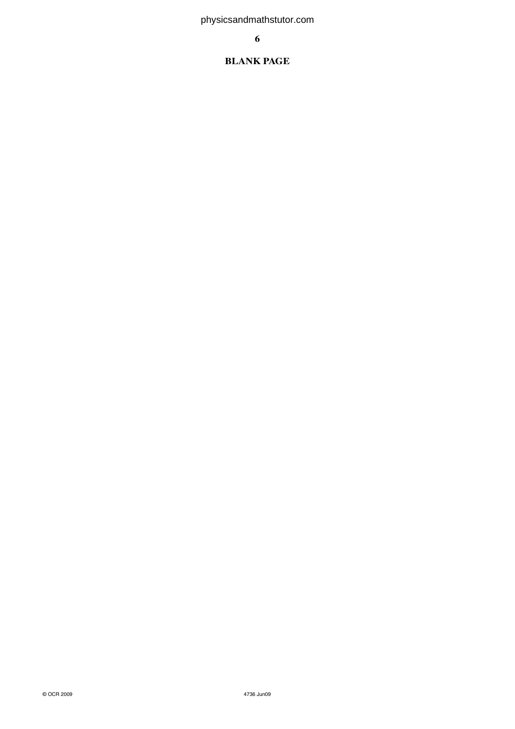### **6**

## **BLANK PAGE**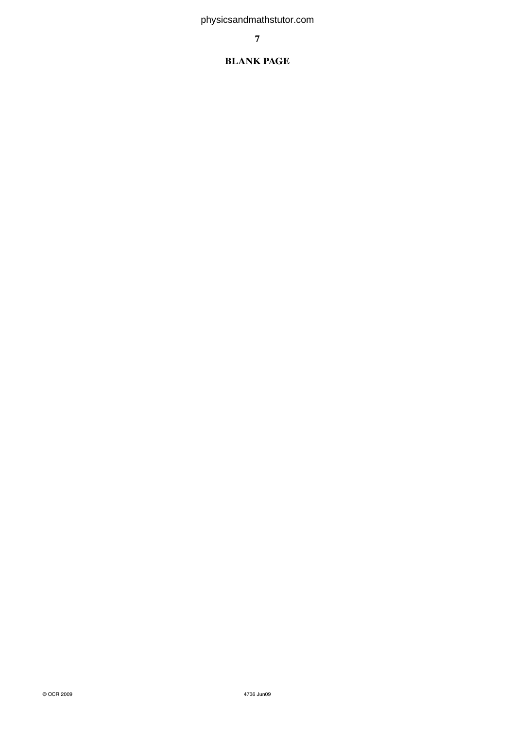## **7**

## **BLANK PAGE**